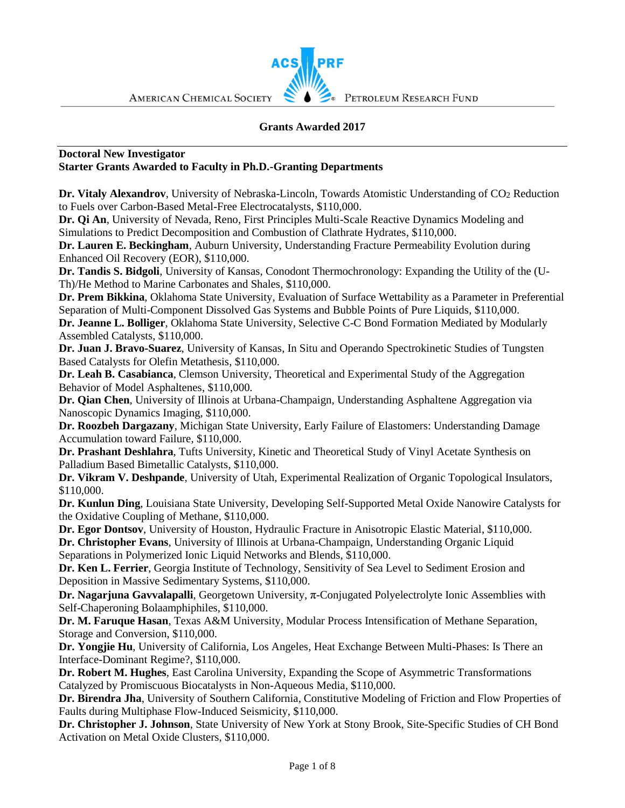

# **Grants Awarded 2017**

#### **Doctoral New Investigator Starter Grants Awarded to Faculty in Ph.D.-Granting Departments**

**Dr. Vitaly Alexandrov**, University of Nebraska-Lincoln, Towards Atomistic Understanding of CO2 Reduction to Fuels over Carbon-Based Metal-Free Electrocatalysts, \$110,000.

**Dr. Qi An**, University of Nevada, Reno, First Principles Multi-Scale Reactive Dynamics Modeling and Simulations to Predict Decomposition and Combustion of Clathrate Hydrates, \$110,000.

**Dr. Lauren E. Beckingham**, Auburn University, Understanding Fracture Permeability Evolution during Enhanced Oil Recovery (EOR), \$110,000.

**Dr. Tandis S. Bidgoli**, University of Kansas, Conodont Thermochronology: Expanding the Utility of the (U-Th)/He Method to Marine Carbonates and Shales, \$110,000.

**Dr. Prem Bikkina**, Oklahoma State University, Evaluation of Surface Wettability as a Parameter in Preferential Separation of Multi-Component Dissolved Gas Systems and Bubble Points of Pure Liquids, \$110,000.

**Dr. Jeanne L. Bolliger**, Oklahoma State University, Selective C-C Bond Formation Mediated by Modularly Assembled Catalysts, \$110,000.

**Dr. Juan J. Bravo-Suarez**, University of Kansas, In Situ and Operando Spectrokinetic Studies of Tungsten Based Catalysts for Olefin Metathesis, \$110,000.

**Dr. Leah B. Casabianca**, Clemson University, Theoretical and Experimental Study of the Aggregation Behavior of Model Asphaltenes, \$110,000.

**Dr. Qian Chen**, University of Illinois at Urbana-Champaign, Understanding Asphaltene Aggregation via Nanoscopic Dynamics Imaging, \$110,000.

**Dr. Roozbeh Dargazany**, Michigan State University, Early Failure of Elastomers: Understanding Damage Accumulation toward Failure, \$110,000.

**Dr. Prashant Deshlahra**, Tufts University, Kinetic and Theoretical Study of Vinyl Acetate Synthesis on Palladium Based Bimetallic Catalysts, \$110,000.

**Dr. Vikram V. Deshpande**, University of Utah, Experimental Realization of Organic Topological Insulators, \$110,000.

**Dr. Kunlun Ding**, Louisiana State University, Developing Self-Supported Metal Oxide Nanowire Catalysts for the Oxidative Coupling of Methane, \$110,000.

**Dr. Egor Dontsov**, University of Houston, Hydraulic Fracture in Anisotropic Elastic Material, \$110,000. **Dr. Christopher Evans**, University of Illinois at Urbana-Champaign, Understanding Organic Liquid

Separations in Polymerized Ionic Liquid Networks and Blends, \$110,000.

**Dr. Ken L. Ferrier**, Georgia Institute of Technology, Sensitivity of Sea Level to Sediment Erosion and Deposition in Massive Sedimentary Systems, \$110,000.

**Dr. Nagarjuna Gavvalapalli**, Georgetown University, π-Conjugated Polyelectrolyte Ionic Assemblies with Self-Chaperoning Bolaamphiphiles, \$110,000.

**Dr. M. Faruque Hasan**, Texas A&M University, Modular Process Intensification of Methane Separation, Storage and Conversion, \$110,000.

**Dr. Yongjie Hu**, University of California, Los Angeles, Heat Exchange Between Multi-Phases: Is There an Interface-Dominant Regime?, \$110,000.

**Dr. Robert M. Hughes**, East Carolina University, Expanding the Scope of Asymmetric Transformations Catalyzed by Promiscuous Biocatalysts in Non-Aqueous Media, \$110,000.

**Dr. Birendra Jha**, University of Southern California, Constitutive Modeling of Friction and Flow Properties of Faults during Multiphase Flow-Induced Seismicity, \$110,000.

**Dr. Christopher J. Johnson**, State University of New York at Stony Brook, Site-Specific Studies of CH Bond Activation on Metal Oxide Clusters, \$110,000.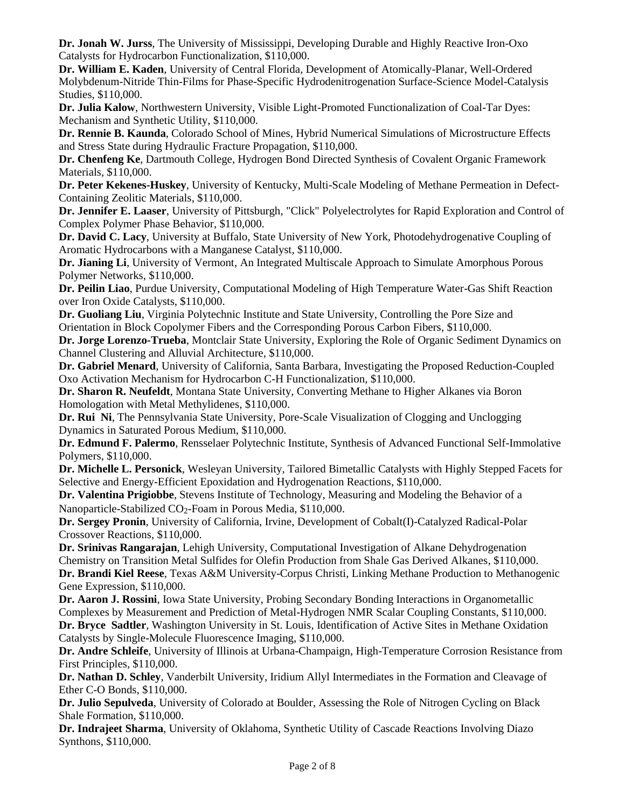**Dr. Jonah W. Jurss**, The University of Mississippi, Developing Durable and Highly Reactive Iron-Oxo Catalysts for Hydrocarbon Functionalization, \$110,000.

**Dr. William E. Kaden**, University of Central Florida, Development of Atomically-Planar, Well-Ordered Molybdenum-Nitride Thin-Films for Phase-Specific Hydrodenitrogenation Surface-Science Model-Catalysis Studies, \$110,000.

**Dr. Julia Kalow**, Northwestern University, Visible Light-Promoted Functionalization of Coal-Tar Dyes: Mechanism and Synthetic Utility, \$110,000.

**Dr. Rennie B. Kaunda**, Colorado School of Mines, Hybrid Numerical Simulations of Microstructure Effects and Stress State during Hydraulic Fracture Propagation, \$110,000.

**Dr. Chenfeng Ke**, Dartmouth College, Hydrogen Bond Directed Synthesis of Covalent Organic Framework Materials, \$110,000.

**Dr. Peter Kekenes-Huskey**, University of Kentucky, Multi-Scale Modeling of Methane Permeation in Defect-Containing Zeolitic Materials, \$110,000.

**Dr. Jennifer E. Laaser**, University of Pittsburgh, "Click" Polyelectrolytes for Rapid Exploration and Control of Complex Polymer Phase Behavior, \$110,000.

**Dr. David C. Lacy**, University at Buffalo, State University of New York, Photodehydrogenative Coupling of Aromatic Hydrocarbons with a Manganese Catalyst, \$110,000.

**Dr. Jianing Li**, University of Vermont, An Integrated Multiscale Approach to Simulate Amorphous Porous Polymer Networks, \$110,000.

**Dr. Peilin Liao**, Purdue University, Computational Modeling of High Temperature Water-Gas Shift Reaction over Iron Oxide Catalysts, \$110,000.

**Dr. Guoliang Liu**, Virginia Polytechnic Institute and State University, Controlling the Pore Size and Orientation in Block Copolymer Fibers and the Corresponding Porous Carbon Fibers, \$110,000.

**Dr. Jorge Lorenzo-Trueba**, Montclair State University, Exploring the Role of Organic Sediment Dynamics on Channel Clustering and Alluvial Architecture, \$110,000.

**Dr. Gabriel Menard**, University of California, Santa Barbara, Investigating the Proposed Reduction-Coupled Oxo Activation Mechanism for Hydrocarbon C-H Functionalization, \$110,000.

**Dr. Sharon R. Neufeldt**, Montana State University, Converting Methane to Higher Alkanes via Boron Homologation with Metal Methylidenes, \$110,000.

**Dr. Rui Ni**, The Pennsylvania State University, Pore-Scale Visualization of Clogging and Unclogging Dynamics in Saturated Porous Medium, \$110,000.

**Dr. Edmund F. Palermo**, Rensselaer Polytechnic Institute, Synthesis of Advanced Functional Self-Immolative Polymers, \$110,000.

**Dr. Michelle L. Personick**, Wesleyan University, Tailored Bimetallic Catalysts with Highly Stepped Facets for Selective and Energy-Efficient Epoxidation and Hydrogenation Reactions, \$110,000.

**Dr. Valentina Prigiobbe**, Stevens Institute of Technology, Measuring and Modeling the Behavior of a Nanoparticle-Stabilized CO2-Foam in Porous Media, \$110,000.

**Dr. Sergey Pronin**, University of California, Irvine, Development of Cobalt(I)-Catalyzed Radical-Polar Crossover Reactions, \$110,000.

**Dr. Srinivas Rangarajan**, Lehigh University, Computational Investigation of Alkane Dehydrogenation Chemistry on Transition Metal Sulfides for Olefin Production from Shale Gas Derived Alkanes, \$110,000. **Dr. Brandi Kiel Reese**, Texas A&M University-Corpus Christi, Linking Methane Production to Methanogenic Gene Expression, \$110,000.

**Dr. Aaron J. Rossini**, Iowa State University, Probing Secondary Bonding Interactions in Organometallic Complexes by Measurement and Prediction of Metal-Hydrogen NMR Scalar Coupling Constants, \$110,000. **Dr. Bryce Sadtler**, Washington University in St. Louis, Identification of Active Sites in Methane Oxidation Catalysts by Single-Molecule Fluorescence Imaging, \$110,000.

**Dr. Andre Schleife**, University of Illinois at Urbana-Champaign, High-Temperature Corrosion Resistance from First Principles, \$110,000.

**Dr. Nathan D. Schley**, Vanderbilt University, Iridium Allyl Intermediates in the Formation and Cleavage of Ether C-O Bonds, \$110,000.

**Dr. Julio Sepulveda**, University of Colorado at Boulder, Assessing the Role of Nitrogen Cycling on Black Shale Formation, \$110,000.

**Dr. Indrajeet Sharma**, University of Oklahoma, Synthetic Utility of Cascade Reactions Involving Diazo Synthons, \$110,000.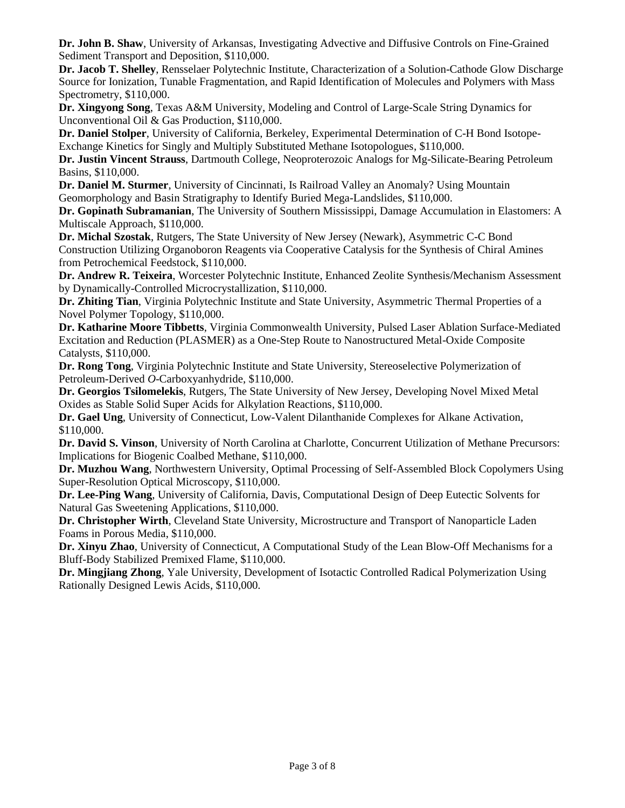**Dr. John B. Shaw**, University of Arkansas, Investigating Advective and Diffusive Controls on Fine-Grained Sediment Transport and Deposition, \$110,000.

**Dr. Jacob T. Shelley**, Rensselaer Polytechnic Institute, Characterization of a Solution-Cathode Glow Discharge Source for Ionization, Tunable Fragmentation, and Rapid Identification of Molecules and Polymers with Mass Spectrometry, \$110,000.

**Dr. Xingyong Song**, Texas A&M University, Modeling and Control of Large-Scale String Dynamics for Unconventional Oil & Gas Production, \$110,000.

**Dr. Daniel Stolper**, University of California, Berkeley, Experimental Determination of C-H Bond Isotope-Exchange Kinetics for Singly and Multiply Substituted Methane Isotopologues, \$110,000.

**Dr. Justin Vincent Strauss**, Dartmouth College, Neoproterozoic Analogs for Mg-Silicate-Bearing Petroleum Basins, \$110,000.

**Dr. Daniel M. Sturmer**, University of Cincinnati, Is Railroad Valley an Anomaly? Using Mountain Geomorphology and Basin Stratigraphy to Identify Buried Mega-Landslides, \$110,000.

**Dr. Gopinath Subramanian**, The University of Southern Mississippi, Damage Accumulation in Elastomers: A Multiscale Approach, \$110,000.

**Dr. Michal Szostak**, Rutgers, The State University of New Jersey (Newark), Asymmetric C-C Bond Construction Utilizing Organoboron Reagents via Cooperative Catalysis for the Synthesis of Chiral Amines from Petrochemical Feedstock, \$110,000.

**Dr. Andrew R. Teixeira**, Worcester Polytechnic Institute, Enhanced Zeolite Synthesis/Mechanism Assessment by Dynamically-Controlled Microcrystallization, \$110,000.

**Dr. Zhiting Tian**, Virginia Polytechnic Institute and State University, Asymmetric Thermal Properties of a Novel Polymer Topology, \$110,000.

**Dr. Katharine Moore Tibbetts**, Virginia Commonwealth University, Pulsed Laser Ablation Surface-Mediated Excitation and Reduction (PLASMER) as a One-Step Route to Nanostructured Metal-Oxide Composite Catalysts, \$110,000.

**Dr. Rong Tong**, Virginia Polytechnic Institute and State University, Stereoselective Polymerization of Petroleum-Derived *O*-Carboxyanhydride, \$110,000.

**Dr. Georgios Tsilomelekis**, Rutgers, The State University of New Jersey, Developing Novel Mixed Metal Oxides as Stable Solid Super Acids for Alkylation Reactions, \$110,000.

**Dr. Gael Ung**, University of Connecticut, Low-Valent Dilanthanide Complexes for Alkane Activation, \$110,000.

**Dr. David S. Vinson**, University of North Carolina at Charlotte, Concurrent Utilization of Methane Precursors: Implications for Biogenic Coalbed Methane, \$110,000.

**Dr. Muzhou Wang**, Northwestern University, Optimal Processing of Self-Assembled Block Copolymers Using Super-Resolution Optical Microscopy, \$110,000.

**Dr. Lee-Ping Wang**, University of California, Davis, Computational Design of Deep Eutectic Solvents for Natural Gas Sweetening Applications, \$110,000.

**Dr. Christopher Wirth**, Cleveland State University, Microstructure and Transport of Nanoparticle Laden Foams in Porous Media, \$110,000.

**Dr. Xinyu Zhao**, University of Connecticut, A Computational Study of the Lean Blow-Off Mechanisms for a Bluff-Body Stabilized Premixed Flame, \$110,000.

**Dr. Mingjiang Zhong**, Yale University, Development of Isotactic Controlled Radical Polymerization Using Rationally Designed Lewis Acids, \$110,000.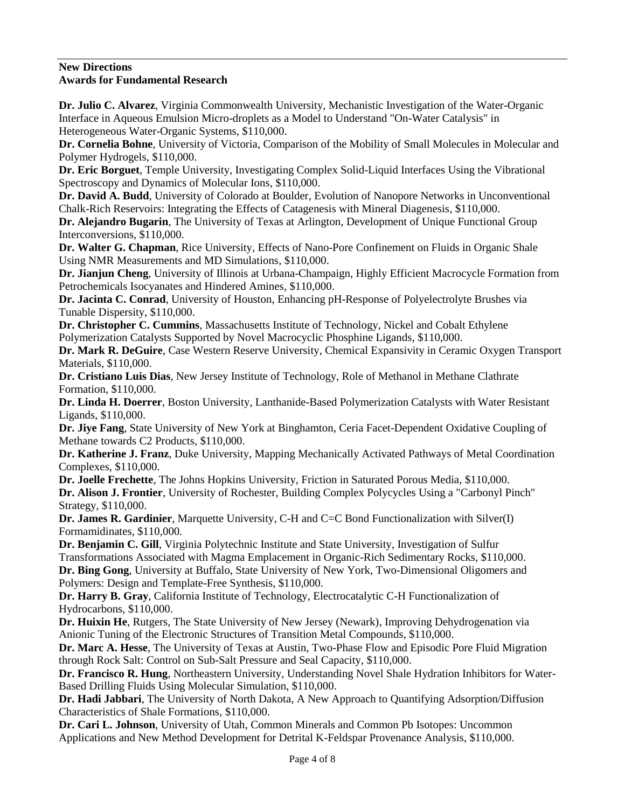### **New Directions Awards for Fundamental Research**

**Dr. Julio C. Alvarez**, Virginia Commonwealth University, Mechanistic Investigation of the Water-Organic Interface in Aqueous Emulsion Micro-droplets as a Model to Understand "On-Water Catalysis" in Heterogeneous Water-Organic Systems, \$110,000.

**Dr. Cornelia Bohne**, University of Victoria, Comparison of the Mobility of Small Molecules in Molecular and Polymer Hydrogels, \$110,000.

**Dr. Eric Borguet**, Temple University, Investigating Complex Solid-Liquid Interfaces Using the Vibrational Spectroscopy and Dynamics of Molecular Ions, \$110,000.

**Dr. David A. Budd**, University of Colorado at Boulder, Evolution of Nanopore Networks in Unconventional Chalk-Rich Reservoirs: Integrating the Effects of Catagenesis with Mineral Diagenesis, \$110,000.

**Dr. Alejandro Bugarin**, The University of Texas at Arlington, Development of Unique Functional Group Interconversions, \$110,000.

**Dr. Walter G. Chapman**, Rice University, Effects of Nano-Pore Confinement on Fluids in Organic Shale Using NMR Measurements and MD Simulations, \$110,000.

**Dr. Jianjun Cheng**, University of Illinois at Urbana-Champaign, Highly Efficient Macrocycle Formation from Petrochemicals Isocyanates and Hindered Amines, \$110,000.

**Dr. Jacinta C. Conrad**, University of Houston, Enhancing pH-Response of Polyelectrolyte Brushes via Tunable Dispersity, \$110,000.

**Dr. Christopher C. Cummins**, Massachusetts Institute of Technology, Nickel and Cobalt Ethylene Polymerization Catalysts Supported by Novel Macrocyclic Phosphine Ligands, \$110,000.

**Dr. Mark R. DeGuire**, Case Western Reserve University, Chemical Expansivity in Ceramic Oxygen Transport Materials, \$110,000.

**Dr. Cristiano Luis Dias**, New Jersey Institute of Technology, Role of Methanol in Methane Clathrate Formation, \$110,000.

**Dr. Linda H. Doerrer**, Boston University, Lanthanide-Based Polymerization Catalysts with Water Resistant Ligands, \$110,000.

**Dr. Jiye Fang**, State University of New York at Binghamton, Ceria Facet-Dependent Oxidative Coupling of Methane towards C2 Products, \$110,000.

**Dr. Katherine J. Franz**, Duke University, Mapping Mechanically Activated Pathways of Metal Coordination Complexes, \$110,000.

**Dr. Joelle Frechette**, The Johns Hopkins University, Friction in Saturated Porous Media, \$110,000. **Dr. Alison J. Frontier**, University of Rochester, Building Complex Polycycles Using a "Carbonyl Pinch" Strategy, \$110,000.

**Dr. James R. Gardinier**, Marquette University, C-H and C=C Bond Functionalization with Silver(I) Formamidinates, \$110,000.

**Dr. Benjamin C. Gill**, Virginia Polytechnic Institute and State University, Investigation of Sulfur Transformations Associated with Magma Emplacement in Organic-Rich Sedimentary Rocks, \$110,000. **Dr. Bing Gong**, University at Buffalo, State University of New York, Two-Dimensional Oligomers and Polymers: Design and Template-Free Synthesis, \$110,000.

**Dr. Harry B. Gray**, California Institute of Technology, Electrocatalytic C-H Functionalization of Hydrocarbons, \$110,000.

**Dr. Huixin He**, Rutgers, The State University of New Jersey (Newark), Improving Dehydrogenation via Anionic Tuning of the Electronic Structures of Transition Metal Compounds, \$110,000.

**Dr. Marc A. Hesse**, The University of Texas at Austin, Two-Phase Flow and Episodic Pore Fluid Migration through Rock Salt: Control on Sub-Salt Pressure and Seal Capacity, \$110,000.

**Dr. Francisco R. Hung**, Northeastern University, Understanding Novel Shale Hydration Inhibitors for Water-Based Drilling Fluids Using Molecular Simulation, \$110,000.

**Dr. Hadi Jabbari**, The University of North Dakota, A New Approach to Quantifying Adsorption/Diffusion Characteristics of Shale Formations, \$110,000.

**Dr. Cari L. Johnson**, University of Utah, Common Minerals and Common Pb Isotopes: Uncommon Applications and New Method Development for Detrital K-Feldspar Provenance Analysis, \$110,000.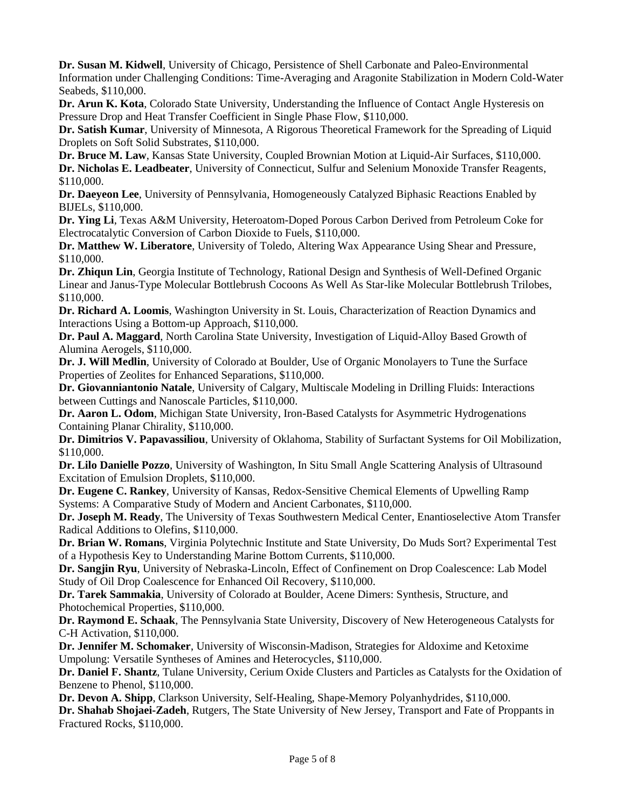**Dr. Susan M. Kidwell**, University of Chicago, Persistence of Shell Carbonate and Paleo-Environmental Information under Challenging Conditions: Time-Averaging and Aragonite Stabilization in Modern Cold-Water Seabeds, \$110,000.

**Dr. Arun K. Kota**, Colorado State University, Understanding the Influence of Contact Angle Hysteresis on Pressure Drop and Heat Transfer Coefficient in Single Phase Flow, \$110,000.

**Dr. Satish Kumar**, University of Minnesota, A Rigorous Theoretical Framework for the Spreading of Liquid Droplets on Soft Solid Substrates, \$110,000.

**Dr. Bruce M. Law**, Kansas State University, Coupled Brownian Motion at Liquid-Air Surfaces, \$110,000. **Dr. Nicholas E. Leadbeater**, University of Connecticut, Sulfur and Selenium Monoxide Transfer Reagents, \$110,000.

**Dr. Daeyeon Lee**, University of Pennsylvania, Homogeneously Catalyzed Biphasic Reactions Enabled by BIJELs, \$110,000.

**Dr. Ying Li**, Texas A&M University, Heteroatom-Doped Porous Carbon Derived from Petroleum Coke for Electrocatalytic Conversion of Carbon Dioxide to Fuels, \$110,000.

**Dr. Matthew W. Liberatore**, University of Toledo, Altering Wax Appearance Using Shear and Pressure, \$110,000.

**Dr. Zhiqun Lin**, Georgia Institute of Technology, Rational Design and Synthesis of Well-Defined Organic Linear and Janus-Type Molecular Bottlebrush Cocoons As Well As Star-like Molecular Bottlebrush Trilobes, \$110,000.

**Dr. Richard A. Loomis**, Washington University in St. Louis, Characterization of Reaction Dynamics and Interactions Using a Bottom-up Approach, \$110,000.

**Dr. Paul A. Maggard**, North Carolina State University, Investigation of Liquid-Alloy Based Growth of Alumina Aerogels, \$110,000.

**Dr. J. Will Medlin**, University of Colorado at Boulder, Use of Organic Monolayers to Tune the Surface Properties of Zeolites for Enhanced Separations, \$110,000.

**Dr. Giovanniantonio Natale**, University of Calgary, Multiscale Modeling in Drilling Fluids: Interactions between Cuttings and Nanoscale Particles, \$110,000.

**Dr. Aaron L. Odom**, Michigan State University, Iron-Based Catalysts for Asymmetric Hydrogenations Containing Planar Chirality, \$110,000.

**Dr. Dimitrios V. Papavassiliou**, University of Oklahoma, Stability of Surfactant Systems for Oil Mobilization, \$110,000.

**Dr. Lilo Danielle Pozzo**, University of Washington, In Situ Small Angle Scattering Analysis of Ultrasound Excitation of Emulsion Droplets, \$110,000.

**Dr. Eugene C. Rankey**, University of Kansas, Redox-Sensitive Chemical Elements of Upwelling Ramp Systems: A Comparative Study of Modern and Ancient Carbonates, \$110,000.

**Dr. Joseph M. Ready**, The University of Texas Southwestern Medical Center, Enantioselective Atom Transfer Radical Additions to Olefins, \$110,000.

**Dr. Brian W. Romans**, Virginia Polytechnic Institute and State University, Do Muds Sort? Experimental Test of a Hypothesis Key to Understanding Marine Bottom Currents, \$110,000.

**Dr. Sangjin Ryu**, University of Nebraska-Lincoln, Effect of Confinement on Drop Coalescence: Lab Model Study of Oil Drop Coalescence for Enhanced Oil Recovery, \$110,000.

**Dr. Tarek Sammakia**, University of Colorado at Boulder, Acene Dimers: Synthesis, Structure, and Photochemical Properties, \$110,000.

**Dr. Raymond E. Schaak**, The Pennsylvania State University, Discovery of New Heterogeneous Catalysts for C-H Activation, \$110,000.

**Dr. Jennifer M. Schomaker**, University of Wisconsin-Madison, Strategies for Aldoxime and Ketoxime Umpolung: Versatile Syntheses of Amines and Heterocycles, \$110,000.

**Dr. Daniel F. Shantz**, Tulane University, Cerium Oxide Clusters and Particles as Catalysts for the Oxidation of Benzene to Phenol, \$110,000.

**Dr. Devon A. Shipp**, Clarkson University, Self-Healing, Shape-Memory Polyanhydrides, \$110,000. **Dr. Shahab Shojaei-Zadeh**, Rutgers, The State University of New Jersey, Transport and Fate of Proppants in Fractured Rocks, \$110,000.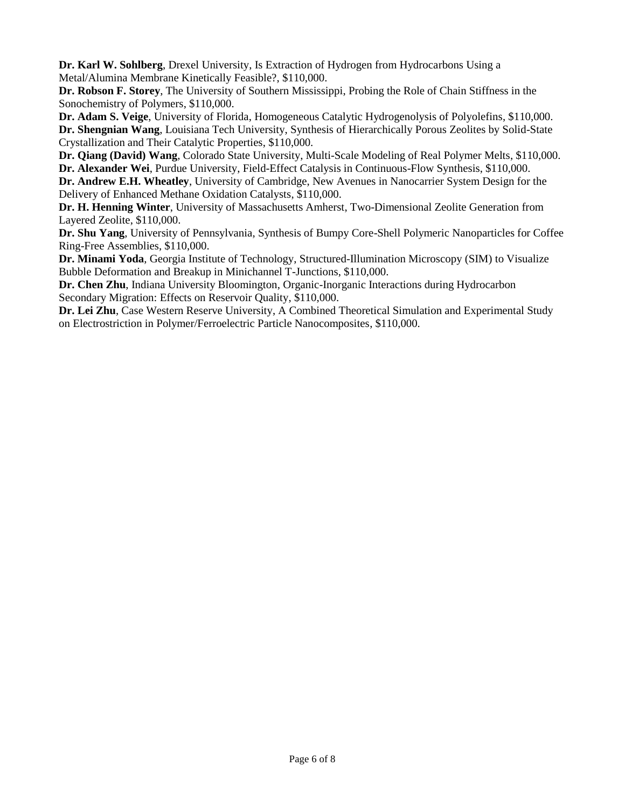**Dr. Karl W. Sohlberg**, Drexel University, Is Extraction of Hydrogen from Hydrocarbons Using a Metal/Alumina Membrane Kinetically Feasible?, \$110,000.

**Dr. Robson F. Storey**, The University of Southern Mississippi, Probing the Role of Chain Stiffness in the Sonochemistry of Polymers, \$110,000.

**Dr. Adam S. Veige**, University of Florida, Homogeneous Catalytic Hydrogenolysis of Polyolefins, \$110,000. **Dr. Shengnian Wang**, Louisiana Tech University, Synthesis of Hierarchically Porous Zeolites by Solid-State Crystallization and Their Catalytic Properties, \$110,000.

**Dr. Qiang (David) Wang**, Colorado State University, Multi-Scale Modeling of Real Polymer Melts, \$110,000. **Dr. Alexander Wei**, Purdue University, Field-Effect Catalysis in Continuous-Flow Synthesis, \$110,000.

**Dr. Andrew E.H. Wheatley**, University of Cambridge, New Avenues in Nanocarrier System Design for the Delivery of Enhanced Methane Oxidation Catalysts, \$110,000.

**Dr. H. Henning Winter**, University of Massachusetts Amherst, Two-Dimensional Zeolite Generation from Layered Zeolite, \$110,000.

**Dr. Shu Yang**, University of Pennsylvania, Synthesis of Bumpy Core-Shell Polymeric Nanoparticles for Coffee Ring-Free Assemblies, \$110,000.

**Dr. Minami Yoda**, Georgia Institute of Technology, Structured-Illumination Microscopy (SIM) to Visualize Bubble Deformation and Breakup in Minichannel T-Junctions, \$110,000.

**Dr. Chen Zhu**, Indiana University Bloomington, Organic-Inorganic Interactions during Hydrocarbon Secondary Migration: Effects on Reservoir Quality, \$110,000.

**Dr. Lei Zhu**, Case Western Reserve University, A Combined Theoretical Simulation and Experimental Study on Electrostriction in Polymer/Ferroelectric Particle Nanocomposites, \$110,000.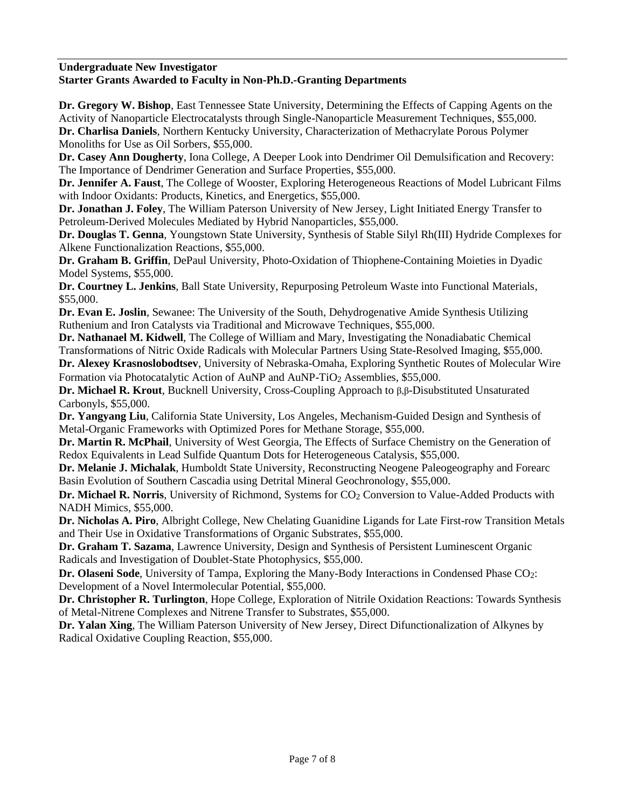## **Undergraduate New Investigator Starter Grants Awarded to Faculty in Non-Ph.D.-Granting Departments**

**Dr. Gregory W. Bishop**, East Tennessee State University, Determining the Effects of Capping Agents on the Activity of Nanoparticle Electrocatalysts through Single-Nanoparticle Measurement Techniques, \$55,000. **Dr. Charlisa Daniels**, Northern Kentucky University, Characterization of Methacrylate Porous Polymer Monoliths for Use as Oil Sorbers, \$55,000.

**Dr. Casey Ann Dougherty**, Iona College, A Deeper Look into Dendrimer Oil Demulsification and Recovery: The Importance of Dendrimer Generation and Surface Properties, \$55,000.

**Dr. Jennifer A. Faust**, The College of Wooster, Exploring Heterogeneous Reactions of Model Lubricant Films with Indoor Oxidants: Products, Kinetics, and Energetics, \$55,000.

**Dr. Jonathan J. Foley**, The William Paterson University of New Jersey, Light Initiated Energy Transfer to Petroleum-Derived Molecules Mediated by Hybrid Nanoparticles, \$55,000.

**Dr. Douglas T. Genna**, Youngstown State University, Synthesis of Stable Silyl Rh(III) Hydride Complexes for Alkene Functionalization Reactions, \$55,000.

**Dr. Graham B. Griffin**, DePaul University, Photo-Oxidation of Thiophene-Containing Moieties in Dyadic Model Systems, \$55,000.

**Dr. Courtney L. Jenkins**, Ball State University, Repurposing Petroleum Waste into Functional Materials, \$55,000.

**Dr. Evan E. Joslin**, Sewanee: The University of the South, Dehydrogenative Amide Synthesis Utilizing Ruthenium and Iron Catalysts via Traditional and Microwave Techniques, \$55,000.

**Dr. Nathanael M. Kidwell**, The College of William and Mary, Investigating the Nonadiabatic Chemical Transformations of Nitric Oxide Radicals with Molecular Partners Using State-Resolved Imaging, \$55,000. **Dr. Alexey Krasnoslobodtsev**, University of Nebraska-Omaha, Exploring Synthetic Routes of Molecular Wire

Formation via Photocatalytic Action of AuNP and AuNP-TiO<sub>2</sub> Assemblies, \$55,000.

**Dr. Michael R. Krout**, Bucknell University, Cross-Coupling Approach to β,β-Disubstituted Unsaturated Carbonyls, \$55,000.

**Dr. Yangyang Liu**, California State University, Los Angeles, Mechanism-Guided Design and Synthesis of Metal-Organic Frameworks with Optimized Pores for Methane Storage, \$55,000.

**Dr. Martin R. McPhail**, University of West Georgia, The Effects of Surface Chemistry on the Generation of Redox Equivalents in Lead Sulfide Quantum Dots for Heterogeneous Catalysis, \$55,000.

**Dr. Melanie J. Michalak**, Humboldt State University, Reconstructing Neogene Paleogeography and Forearc Basin Evolution of Southern Cascadia using Detrital Mineral Geochronology, \$55,000.

**Dr. Michael R. Norris**, University of Richmond, Systems for CO<sub>2</sub> Conversion to Value-Added Products with NADH Mimics, \$55,000.

**Dr. Nicholas A. Piro**, Albright College, New Chelating Guanidine Ligands for Late First-row Transition Metals and Their Use in Oxidative Transformations of Organic Substrates, \$55,000.

**Dr. Graham T. Sazama**, Lawrence University, Design and Synthesis of Persistent Luminescent Organic Radicals and Investigation of Doublet-State Photophysics, \$55,000.

**Dr. Olaseni Sode**, University of Tampa, Exploring the Many-Body Interactions in Condensed Phase CO2: Development of a Novel Intermolecular Potential, \$55,000.

**Dr. Christopher R. Turlington**, Hope College, Exploration of Nitrile Oxidation Reactions: Towards Synthesis of Metal-Nitrene Complexes and Nitrene Transfer to Substrates, \$55,000.

**Dr. Yalan Xing**, The William Paterson University of New Jersey, Direct Difunctionalization of Alkynes by Radical Oxidative Coupling Reaction, \$55,000.